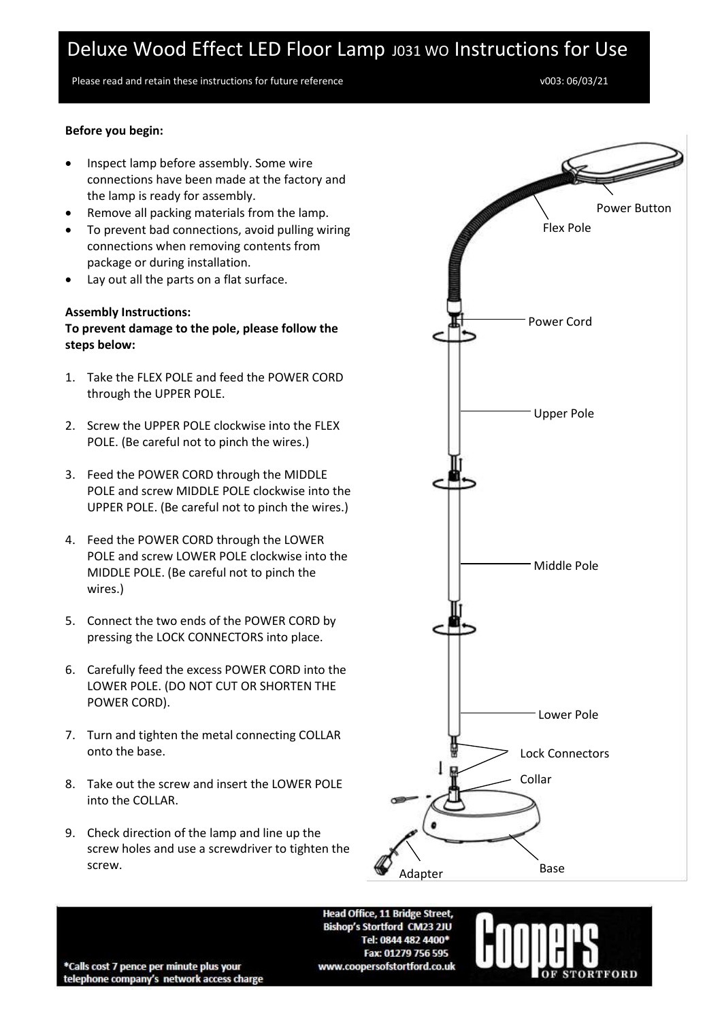Please read and retain these instructions for future reference values and the volume volume volume volume volume volume volume volume volume volume volume volume volume volume volume variations for future reference variati

### **Before you begin:**

- Inspect lamp before assembly. Some wire connections have been made at the factory and the lamp is ready for assembly.
- Remove all packing materials from the lamp.
- To prevent bad connections, avoid pulling wiring connections when removing contents from package or during installation.
- Lay out all the parts on a flat surface.

#### **Assembly Instructions:**

**To prevent damage to the pole, please follow the steps below:**

- 1. Take the FLEX POLE and feed the POWER CORD through the UPPER POLE.
- 2. Screw the UPPER POLE clockwise into the FLEX POLE. (Be careful not to pinch the wires.)
- 3. Feed the POWER CORD through the MIDDLE POLE and screw MIDDLE POLE clockwise into the UPPER POLE. (Be careful not to pinch the wires.)
- 4. Feed the POWER CORD through the LOWER POLE and screw LOWER POLE clockwise into the MIDDLE POLE. (Be careful not to pinch the wires.)
- 5. Connect the two ends of the POWER CORD by pressing the LOCK CONNECTORS into place.
- 6. Carefully feed the excess POWER CORD into the LOWER POLE. (DO NOT CUT OR SHORTEN THE POWER CORD).
- 7. Turn and tighten the metal connecting COLLAR onto the base.
- 8. Take out the screw and insert the LOWER POLE into the COLLAR.
- 9. Check direction of the lamp and line up the screw holes and use a screwdriver to tighten the screw.



Head Office, 11 Bridge Street, Bishop's Stortford CM23 2JU Tel: 0844 482 4400\* Fax: 01279 756 595 www.coopersofstortford.co.uk



\*Calls cost 7 pence per minute plus your telephone company's network access charge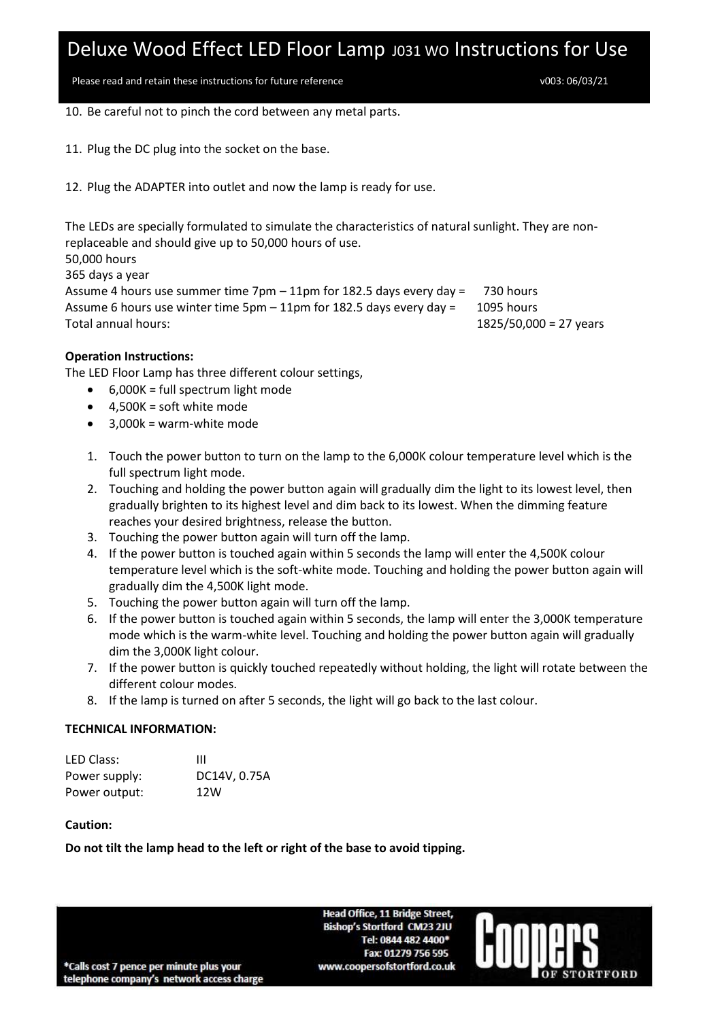Please read and retain these instructions for future reference values and the vool of  $\sqrt{003}$ : 06/03/21

10. Be careful not to pinch the cord between any metal parts.

11. Plug the DC plug into the socket on the base.

12. Plug the ADAPTER into outlet and now the lamp is ready for use.

The LEDs are specially formulated to simulate the characteristics of natural sunlight. They are nonreplaceable and should give up to 50,000 hours of use. 50,000 hours 365 days a year Assume 4 hours use summer time 7pm – 11pm for 182.5 days every day = 730 hours Assume 6 hours use winter time 5pm – 11pm for 182.5 days every day = 1095 hours Total annual hours: 1825/50,000 = 27 years

### **Operation Instructions:**

The LED Floor Lamp has three different colour settings,

- 6,000K = full spectrum light mode
- $\bullet$  4,500K = soft white mode
- $\bullet$  3.000k = warm-white mode
- 1. Touch the power button to turn on the lamp to the 6,000K colour temperature level which is the full spectrum light mode.
- 2. Touching and holding the power button again will gradually dim the light to its lowest level, then gradually brighten to its highest level and dim back to its lowest. When the dimming feature reaches your desired brightness, release the button.
- 3. Touching the power button again will turn off the lamp.
- 4. If the power button is touched again within 5 seconds the lamp will enter the 4,500K colour temperature level which is the soft-white mode. Touching and holding the power button again will gradually dim the 4,500K light mode.
- 5. Touching the power button again will turn off the lamp.
- 6. If the power button is touched again within 5 seconds, the lamp will enter the 3,000K temperature mode which is the warm-white level. Touching and holding the power button again will gradually dim the 3,000K light colour.
- 7. If the power button is quickly touched repeatedly without holding, the light will rotate between the different colour modes.
- 8. If the lamp is turned on after 5 seconds, the light will go back to the last colour.

### **TECHNICAL INFORMATION:**

| LED Class:    | Ш            |
|---------------|--------------|
| Power supply: | DC14V, 0.75A |
| Power output: | 12W          |

### **Caution:**

**Do not tilt the lamp head to the left or right of the base to avoid tipping.**

Head Office, 11 Bridge Street, Bishop's Stortford CM23 2JU Tel: 0844 482 4400\* Fax: 01279 756 595 www.coopersofstortford.co.uk

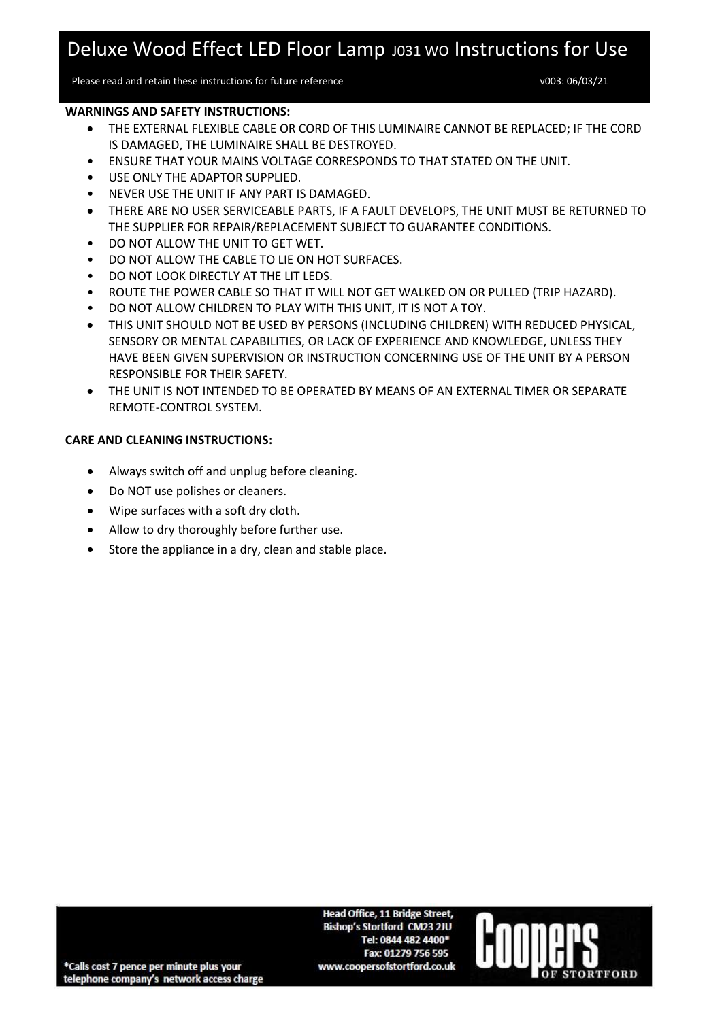Please read and retain these instructions for future reference values and the volume volume volume volume volume

ORTFORD

#### **WARNINGS AND SAFETY INSTRUCTIONS:**

- THE EXTERNAL FLEXIBLE CABLE OR CORD OF THIS LUMINAIRE CANNOT BE REPLACED; IF THE CORD IS DAMAGED, THE LUMINAIRE SHALL BE DESTROYED.
- ENSURE THAT YOUR MAINS VOLTAGE CORRESPONDS TO THAT STATED ON THE UNIT.
- USE ONLY THE ADAPTOR SUPPLIED.
- NEVER USE THE UNIT IF ANY PART IS DAMAGED.
- THERE ARE NO USER SERVICEABLE PARTS, IF A FAULT DEVELOPS, THE UNIT MUST BE RETURNED TO THE SUPPLIER FOR REPAIR/REPLACEMENT SUBJECT TO GUARANTEE CONDITIONS.
- DO NOT ALLOW THE UNIT TO GET WET.
- DO NOT ALLOW THE CABLE TO LIE ON HOT SURFACES.
- DO NOT LOOK DIRECTLY AT THE LIT LEDS.
- ROUTE THE POWER CABLE SO THAT IT WILL NOT GET WALKED ON OR PULLED (TRIP HAZARD).
- DO NOT ALLOW CHILDREN TO PLAY WITH THIS UNIT, IT IS NOT A TOY.
- THIS UNIT SHOULD NOT BE USED BY PERSONS (INCLUDING CHILDREN) WITH REDUCED PHYSICAL, SENSORY OR MENTAL CAPABILITIES, OR LACK OF EXPERIENCE AND KNOWLEDGE, UNLESS THEY HAVE BEEN GIVEN SUPERVISION OR INSTRUCTION CONCERNING USE OF THE UNIT BY A PERSON RESPONSIBLE FOR THEIR SAFETY.
- THE UNIT IS NOT INTENDED TO BE OPERATED BY MEANS OF AN EXTERNAL TIMER OR SEPARATE REMOTE-CONTROL SYSTEM.

### **CARE AND CLEANING INSTRUCTIONS:**

- Always switch off and unplug before cleaning.
- Do NOT use polishes or cleaners.
- Wipe surfaces with a soft dry cloth.
- Allow to dry thoroughly before further use.
- Store the appliance in a dry, clean and stable place.

**Head Office, 11 Bridge Street, Bishop's Stortford CM23 2JU** Tel: 0844 482 4400\* Fax: 01279 756 595 www.coopersofstortford.co.uk